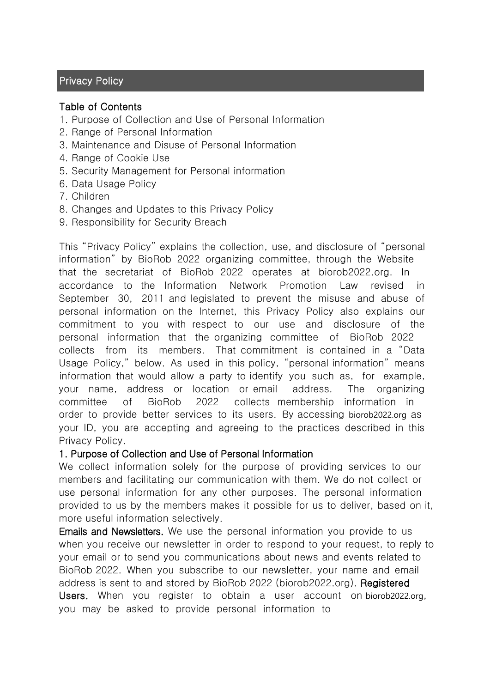## Privacy Policy

## Table of Contents

- 1. Purpose of Collection and Use of Personal Information
- 2. Range of Personal Information
- 3. Maintenance and Disuse of Personal Information
- 4. Range of Cookie Use
- 5. Security Management for Personal information
- 6. Data Usage Policy
- 7. Children
- 8. Changes and Updates to this Privacy Policy
- 9. Responsibility for Security Breach

This "Privacy Policy" explains the collection, use, and disclosure of "personal information" by BioRob 2022 organizing committee, through the Website that the secretariat of BioRob 2022 operates at biorob2022.org. In accordance to the Information Network Promotion Law revised in September 30, 2011 and legislated to prevent the misuse and abuse of personal information on the Internet, this Privacy Policy also explains our commitment to you with respect to our use and disclosure of the personal information that the organizing committee of BioRob 2022 collects from its members. That commitment is contained in a "Data Usage Policy," below. As used in this policy, "personal information" means information that would allow a party to identify you such as, for example, your name, address or location or email address. The organizing committee of BioRob 2022 collects membership information in order to provide better services to its users. By accessing biorob2022.org as your ID, you are accepting and agreeing to the practices described in this Privacy Policy.

### 1. Purpose of Collection and Use of Personal Information

We collect information solely for the purpose of providing services to our members and facilitating our communication with them. We do not collect or use personal information for any other purposes. The personal information provided to us by the members makes it possible for us to deliver, based on it, more useful information selectively.

Emails and Newsletters. We use the personal information you provide to us when you receive our newsletter in order to respond to your request, to reply to your email or to send you communications about news and events related to BioRob 2022. When you subscribe to our newsletter, your name and email address is sent to and stored by BioRob 2022 (biorob2022.org). Registered Users. When you register to obtain a user account on biorob2022.org, you may be asked to provide personal information to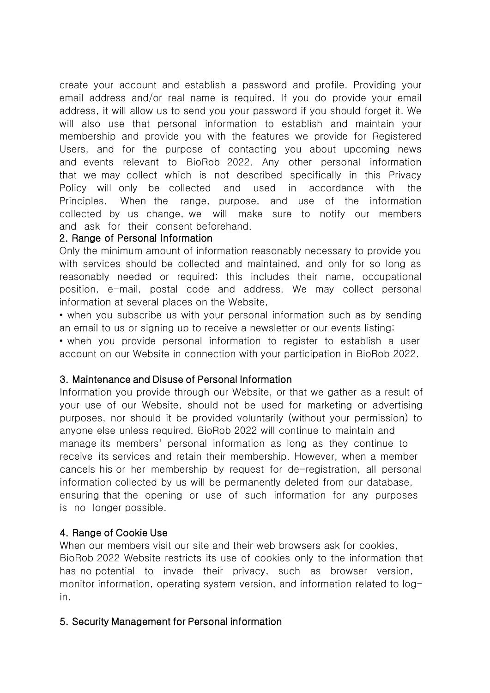create your account and establish a password and profile. Providing your email address and/or real name is required. If you do provide your email address, it will allow us to send you your password if you should forget it. We will also use that personal information to establish and maintain your membership and provide you with the features we provide for Registered Users, and for the purpose of contacting you about upcoming news and events relevant to BioRob 2022. Any other personal information that we may collect which is not described specifically in this Privacy Policy will only be collected and used in accordance with the Principles. When the range, purpose, and use of the information collected by us change, we will make sure to notify our members and ask for their consent beforehand.

#### 2. Range of Personal Information

Only the minimum amount of information reasonably necessary to provide you with services should be collected and maintained, and only for so long as reasonably needed or required; this includes their name, occupational position, e-mail, postal code and address. We may collect personal information at several places on the Website,

• when you subscribe us with your personal information such as by sending an email to us or signing up to receive a newsletter or our events listing;

• when you provide personal information to register to establish a user account on our Website in connection with your participation in BioRob 2022.

### 3. Maintenance and Disuse of Personal Information

Information you provide through our Website, or that we gather as a result of your use of our Website, should not be used for marketing or advertising purposes, nor should it be provided voluntarily (without your permission) to anyone else unless required. BioRob 2022 will continue to maintain and manage its members' personal information as long as they continue to receive its services and retain their membership. However, when a member cancels his or her membership by request for de-registration, all personal information collected by us will be permanently deleted from our database, ensuring that the opening or use of such information for any purposes is no longer possible.

### 4. Range of Cookie Use

When our members visit our site and their web browsers ask for cookies, BioRob 2022 Website restricts its use of cookies only to the information that has no potential to invade their privacy, such as browser version, monitor information, operating system version, and information related to login.

### 5. Security Management for Personal information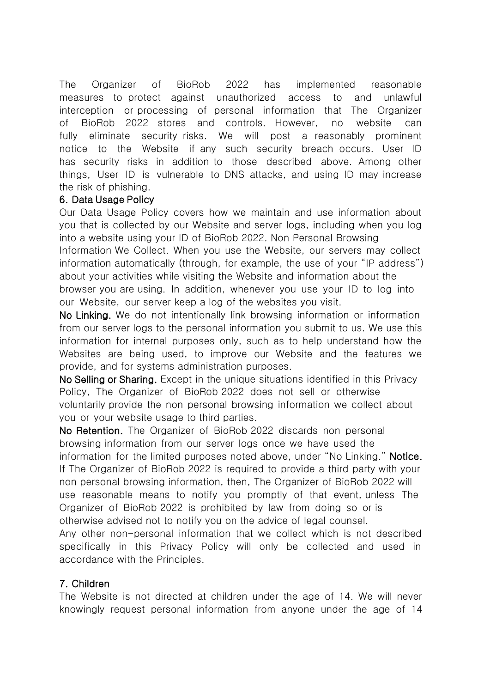The Organizer of BioRob 2022 has implemented reasonable measures to protect against unauthorized access to and unlawful interception or processing of personal information that The Organizer of BioRob 2022 stores and controls. However, no website can fully eliminate security risks. We will post a reasonably prominent notice to the Website if any such security breach occurs. User ID has security risks in addition to those described above. Among other things, User ID is vulnerable to DNS attacks, and using ID may increase the risk of phishing.

## 6. Data Usage Policy

Our Data Usage Policy covers how we maintain and use information about you that is collected by our Website and server logs, including when you log into a website using your ID of BioRob 2022. Non Personal Browsing Information We Collect. When you use the Website, our servers may collect information automatically (through, for example, the use of your "IP address") about your activities while visiting the Website and information about the browser you are using. In addition, whenever you use your ID to log into our Website, our server keep a log of the websites you visit.

No Linking. We do not intentionally link browsing information or information from our server logs to the personal information you submit to us. We use this information for internal purposes only, such as to help understand how the Websites are being used, to improve our Website and the features we provide, and for systems administration purposes.

No Selling or Sharing. Except in the unique situations identified in this Privacy Policy, The Organizer of BioRob 2022 does not sell or otherwise voluntarily provide the non personal browsing information we collect about you or your website usage to third parties.

No Retention. The Organizer of BioRob 2022 discards non personal browsing information from our server logs once we have used the information for the limited purposes noted above, under "No Linking." Notice. If The Organizer of BioRob 2022 is required to provide a third party with your non personal browsing information, then, The Organizer of BioRob 2022 will use reasonable means to notify you promptly of that event, unless The Organizer of BioRob 2022 is prohibited by law from doing so or is otherwise advised not to notify you on the advice of legal counsel.

Any other non-personal information that we collect which is not described specifically in this Privacy Policy will only be collected and used in accordance with the Principles.

# 7. Children

The Website is not directed at children under the age of 14. We will never knowingly request personal information from anyone under the age of 14